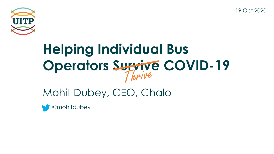19 Oct 2020



# **Helping Individual Bus Operators Survive COVID-19**

### Mohit Dubey, CEO, Chalo

@mohitdubey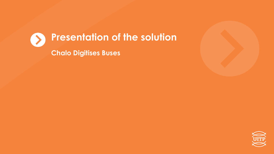



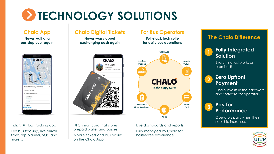## **EXTECHNOLOGY SOLUTIONS**

### **Never wait at a bus stop ever again**



### India's #1 bus tracking app

Live bus tracking, live arrival times, trip planner, SOS, and more…

### **Chalo App Chalo Digital Tickets For Bus Operators**

**Never worry about exchanging cash again**



NFC smart card that stores prepaid wallet and passes. Mobile tickets and bus passes on the Chalo App.

**Full-stack tech suite for daily bus operations**



Live dashboards and reports. Fully managed by Chalo for hassle-free experience

### **The Chalo Difference**



Everything just works as promised!

### **Zero Upfront Payment**

**2**

Chalo invests in the hardware and software for operators.



Operators pays when their ridership increases.

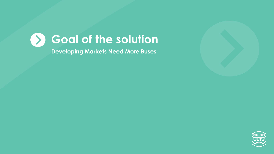



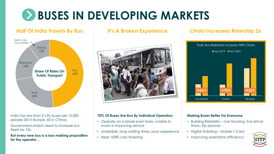## **BUSES IN DEVELOPING MARKETS**

### **Half Of India Travels By Bus It's A Broken Experience**



India has less than 2 city buses per 10,000 people (30 in Europe, 60 in China).

Government-stated need to increase bus fleets by 10x.

**But every new bus is a loss-making proposition for the operator…**



### **70% Of Buses Are Run By Individual Operators**

- Operate on a break-even basis, unable to invest in improving service
- Unreliable, long waiting times, poor experience
- Near 100% cash ticketing

### **Chalo Increases Ridership 2x**



Chart not to scale

### **Making Buses Better For Everyone**

- Building Reliability Live tracking, live arrival times, trip planner…
- Digital Ticketing Mobile + Card
- Improving operations efficiency

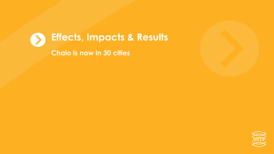



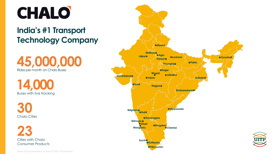

### **India's #1 Transport Technology Company**



**14,000** Buses with live tracking

**30** Chalo Cities

**23** Cities with Chalo Consumer Products